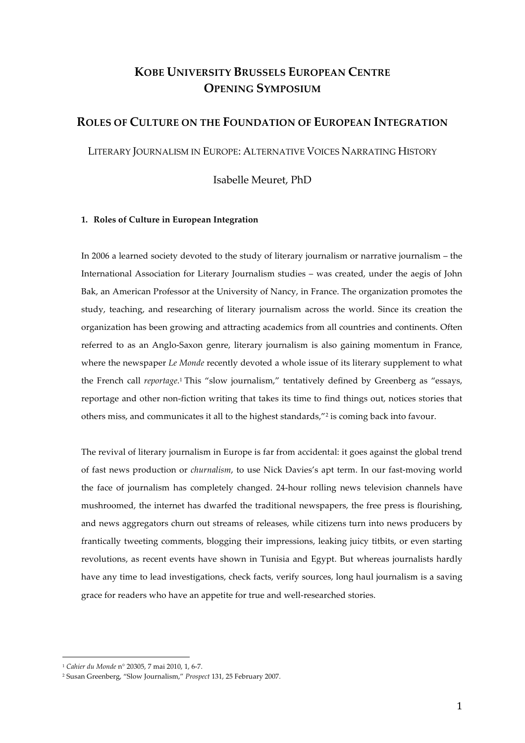# **KOBE UNIVERSITY BRUSSELS EUROPEAN CENTRE OPENING SYMPOSIUM**

## **ROLES OF CULTURE ON THE FOUNDATION OF EUROPEAN INTEGRATION**

LITERARY JOURNALISM IN EUROPE: ALTERNATIVE VOICES NARRATING HISTORY

Isabelle Meuret, PhD

### **1. Roles of Culture in European Integration**

In 2006 a learned society devoted to the study of literary journalism or narrative journalism – the International Association for Literary Journalism studies – was created, under the aegis of John Bak, an American Professor at the University of Nancy, in France. The organization promotes the study, teaching, and researching of literary journalism across the world. Since its creation the organization has been growing and attracting academics from all countries and continents. Often referred to as an Anglo-Saxon genre, literary journalism is also gaining momentum in France, where the newspaper *Le Monde* recently devoted a whole issue of its literary supplement to what the French call *reportage*.1 This "slow journalism," tentatively defined by Greenberg as "essays, reportage and other non‑fiction writing that takes its time to find things out, notices stories that others miss, and communicates it all to the highest standards,"2 is coming back into favour.

The revival of literary journalism in Europe is far from accidental: it goes against the global trend of fast news production or *churnalism*, to use Nick Davies's apt term. In our fast-moving world the face of journalism has completely changed. 24‑hour rolling news television channels have mushroomed, the internet has dwarfed the traditional newspapers, the free press is flourishing, and news aggregators churn out streams of releases, while citizens turn into news producers by frantically tweeting comments, blogging their impressions, leaking juicy titbits, or even starting revolutions, as recent events have shown in Tunisia and Egypt. But whereas journalists hardly have any time to lead investigations, check facts, verify sources, long haul journalism is a saving grace for readers who have an appetite for true and well-researched stories.

 <sup>1</sup> *Cahier du Monde* n° 20305, 7 mai 2010, 1, 6‑7.

<sup>2</sup> Susan Greenberg, "Slow Journalism," *Prospect* 131, 25 February 2007.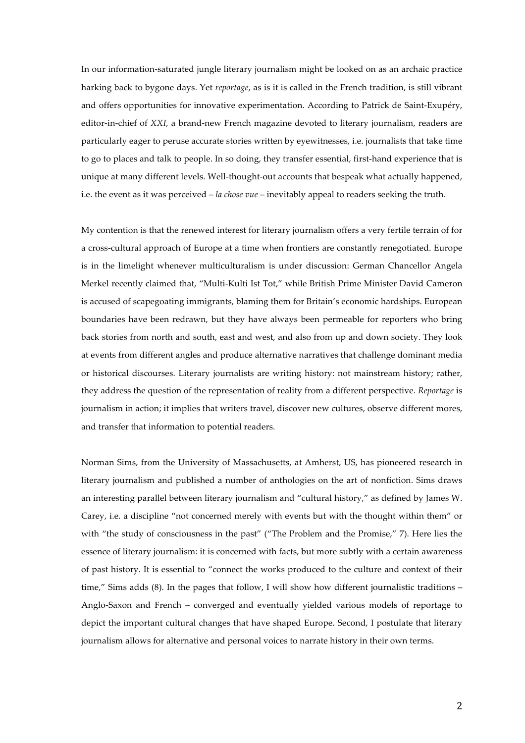In our information‑saturated jungle literary journalism might be looked on as an archaic practice harking back to bygone days. Yet *reportage*, as is it is called in the French tradition, is still vibrant and offers opportunities for innovative experimentation. According to Patrick de Saint‑Exupéry, editor-in-chief of *XXI*, a brand-new French magazine devoted to literary journalism, readers are particularly eager to peruse accurate stories written by eyewitnesses, i.e. journalists that take time to go to places and talk to people. In so doing, they transfer essential, first-hand experience that is unique at many different levels. Well-thought-out accounts that bespeak what actually happened, i.e. the event as it was perceived – *la chose vue* – inevitably appeal to readers seeking the truth.

My contention is that the renewed interest for literary journalism offers a very fertile terrain of for a cross‑cultural approach of Europe at a time when frontiers are constantly renegotiated. Europe is in the limelight whenever multiculturalism is under discussion: German Chancellor Angela Merkel recently claimed that, "Multi‑Kulti Ist Tot," while British Prime Minister David Cameron is accused of scapegoating immigrants, blaming them for Britain's economic hardships. European boundaries have been redrawn, but they have always been permeable for reporters who bring back stories from north and south, east and west, and also from up and down society. They look at events from different angles and produce alternative narratives that challenge dominant media or historical discourses. Literary journalists are writing history: not mainstream history; rather, they address the question of the representation of reality from a different perspective. *Reportage* is journalism in action; it implies that writers travel, discover new cultures, observe different mores, and transfer that information to potential readers.

Norman Sims, from the University of Massachusetts, at Amherst, US, has pioneered research in literary journalism and published a number of anthologies on the art of nonfiction. Sims draws an interesting parallel between literary journalism and "cultural history," as defined by James W. Carey, i.e. a discipline "not concerned merely with events but with the thought within them" or with "the study of consciousness in the past" ("The Problem and the Promise," 7). Here lies the essence of literary journalism: it is concerned with facts, but more subtly with a certain awareness of past history. It is essential to "connect the works produced to the culture and context of their time," Sims adds (8). In the pages that follow, I will show how different journalistic traditions – Anglo-Saxon and French – converged and eventually yielded various models of reportage to depict the important cultural changes that have shaped Europe. Second, I postulate that literary journalism allows for alternative and personal voices to narrate history in their own terms.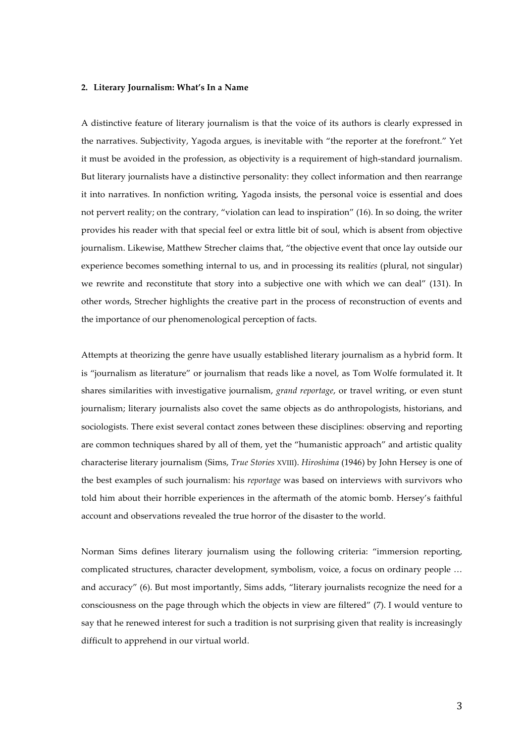#### **2. Literary Journalism: What's In a Name**

A distinctive feature of literary journalism is that the voice of its authors is clearly expressed in the narratives. Subjectivity, Yagoda argues, is inevitable with "the reporter at the forefront." Yet it must be avoided in the profession, as objectivity is a requirement of high-standard journalism. But literary journalists have a distinctive personality: they collect information and then rearrange it into narratives. In nonfiction writing, Yagoda insists, the personal voice is essential and does not pervert reality; on the contrary, "violation can lead to inspiration" (16). In so doing, the writer provides his reader with that special feel or extra little bit of soul, which is absent from objective journalism. Likewise, Matthew Strecher claims that, "the objective event that once lay outside our experience becomes something internal to us, and in processing its realit*ies* (plural, not singular) we rewrite and reconstitute that story into a subjective one with which we can deal" (131). In other words, Strecher highlights the creative part in the process of reconstruction of events and the importance of our phenomenological perception of facts.

Attempts at theorizing the genre have usually established literary journalism as a hybrid form. It is "journalism as literature" or journalism that reads like a novel, as Tom Wolfe formulated it. It shares similarities with investigative journalism, *grand reportage*, or travel writing, or even stunt journalism; literary journalists also covet the same objects as do anthropologists, historians, and sociologists. There exist several contact zones between these disciplines: observing and reporting are common techniques shared by all of them, yet the "humanistic approach" and artistic quality characterise literary journalism (Sims, *True Stories* XVIII). *Hiroshima* (1946) by John Hersey is one of the best examples of such journalism: his *reportage* was based on interviews with survivors who told him about their horrible experiences in the aftermath of the atomic bomb. Hersey's faithful account and observations revealed the true horror of the disaster to the world.

Norman Sims defines literary journalism using the following criteria: "immersion reporting, complicated structures, character development, symbolism, voice, a focus on ordinary people … and accuracy" (6). But most importantly, Sims adds, "literary journalists recognize the need for a consciousness on the page through which the objects in view are filtered" (7). I would venture to say that he renewed interest for such a tradition is not surprising given that reality is increasingly difficult to apprehend in our virtual world.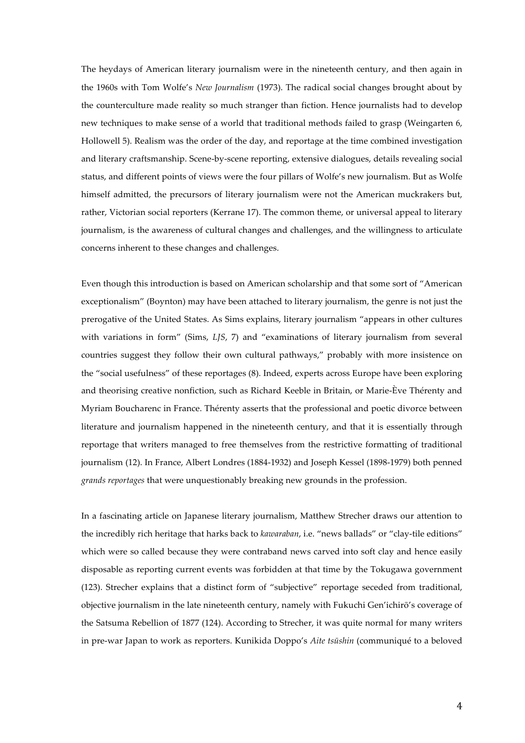The heydays of American literary journalism were in the nineteenth century, and then again in the 1960s with Tom Wolfe's *New Journalism* (1973). The radical social changes brought about by the counterculture made reality so much stranger than fiction. Hence journalists had to develop new techniques to make sense of a world that traditional methods failed to grasp (Weingarten 6, Hollowell 5). Realism was the order of the day, and reportage at the time combined investigation and literary craftsmanship. Scene-by-scene reporting, extensive dialogues, details revealing social status, and different points of views were the four pillars of Wolfe's new journalism. But as Wolfe himself admitted, the precursors of literary journalism were not the American muckrakers but, rather, Victorian social reporters (Kerrane 17). The common theme, or universal appeal to literary journalism, is the awareness of cultural changes and challenges, and the willingness to articulate concerns inherent to these changes and challenges.

Even though this introduction is based on American scholarship and that some sort of "American exceptionalism" (Boynton) may have been attached to literary journalism, the genre is not just the prerogative of the United States. As Sims explains, literary journalism "appears in other cultures with variations in form" (Sims, *LJS*, 7) and "examinations of literary journalism from several countries suggest they follow their own cultural pathways," probably with more insistence on the "social usefulness" of these reportages (8). Indeed, experts across Europe have been exploring and theorising creative nonfiction, such as Richard Keeble in Britain, or Marie‑Ève Thérenty and Myriam Boucharenc in France. Thérenty asserts that the professional and poetic divorce between literature and journalism happened in the nineteenth century, and that it is essentially through reportage that writers managed to free themselves from the restrictive formatting of traditional journalism (12). In France, Albert Londres (1884‑1932) and Joseph Kessel (1898‑1979) both penned *grands reportages* that were unquestionably breaking new grounds in the profession.

In a fascinating article on Japanese literary journalism, Matthew Strecher draws our attention to the incredibly rich heritage that harks back to *kawaraban*, i.e. "news ballads" or "clay-tile editions" which were so called because they were contraband news carved into soft clay and hence easily disposable as reporting current events was forbidden at that time by the Tokugawa government (123). Strecher explains that a distinct form of "subjective" reportage seceded from traditional, objective journalism in the late nineteenth century, namely with Fukuchi Gen'ichirō's coverage of the Satsuma Rebellion of 1877 (124). According to Strecher, it was quite normal for many writers in pre‑war Japan to work as reporters. Kunikida Doppo's *Aite tsūshin* (communiqué to a beloved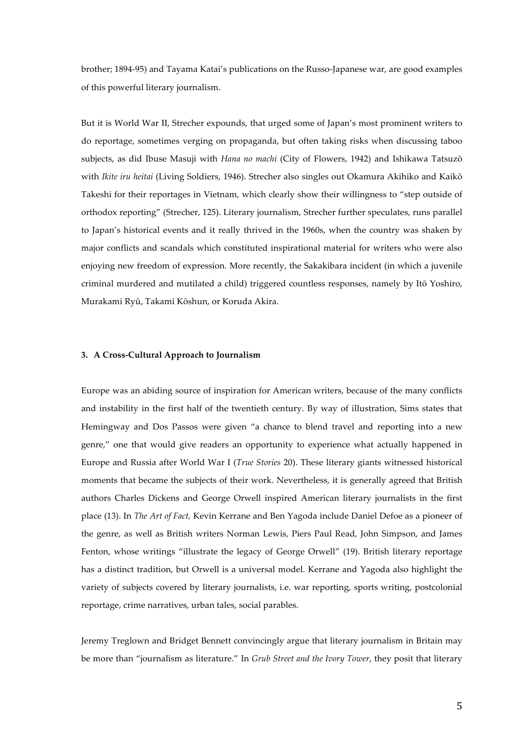brother; 1894‑95) and Tayama Katai's publications on the Russo‑Japanese war, are good examples of this powerful literary journalism.

But it is World War II, Strecher expounds, that urged some of Japan's most prominent writers to do reportage, sometimes verging on propaganda, but often taking risks when discussing taboo subjects, as did Ibuse Masuji with *Hana no machi* (City of Flowers, 1942) and Ishikawa Tatsuzō with *Ikite iru heitai* (Living Soldiers, 1946). Strecher also singles out Okamura Akihiko and Kaikō Takeshi for their reportages in Vietnam, which clearly show their willingness to "step outside of orthodox reporting" (Strecher, 125). Literary journalism, Strecher further speculates, runs parallel to Japan's historical events and it really thrived in the 1960s, when the country was shaken by major conflicts and scandals which constituted inspirational material for writers who were also enjoying new freedom of expression. More recently, the Sakakibara incident (in which a juvenile criminal murdered and mutilated a child) triggered countless responses, namely by Itō Yoshiro, Murakami Ryū, Takami Kōshun, or Koruda Akira.

#### **3. A Cross‑Cultural Approach to Journalism**

Europe was an abiding source of inspiration for American writers, because of the many conflicts and instability in the first half of the twentieth century. By way of illustration, Sims states that Hemingway and Dos Passos were given "a chance to blend travel and reporting into a new genre," one that would give readers an opportunity to experience what actually happened in Europe and Russia after World War I (*True Stories* 20). These literary giants witnessed historical moments that became the subjects of their work. Nevertheless, it is generally agreed that British authors Charles Dickens and George Orwell inspired American literary journalists in the first place (13). In *The Art of Fact,* Kevin Kerrane and Ben Yagoda include Daniel Defoe as a pioneer of the genre, as well as British writers Norman Lewis, Piers Paul Read, John Simpson, and James Fenton, whose writings "illustrate the legacy of George Orwell" (19). British literary reportage has a distinct tradition, but Orwell is a universal model. Kerrane and Yagoda also highlight the variety of subjects covered by literary journalists, i.e. war reporting, sports writing, postcolonial reportage, crime narratives, urban tales, social parables.

Jeremy Treglown and Bridget Bennett convincingly argue that literary journalism in Britain may be more than "journalism as literature." In *Grub Street and the Ivory Tower*, they posit that literary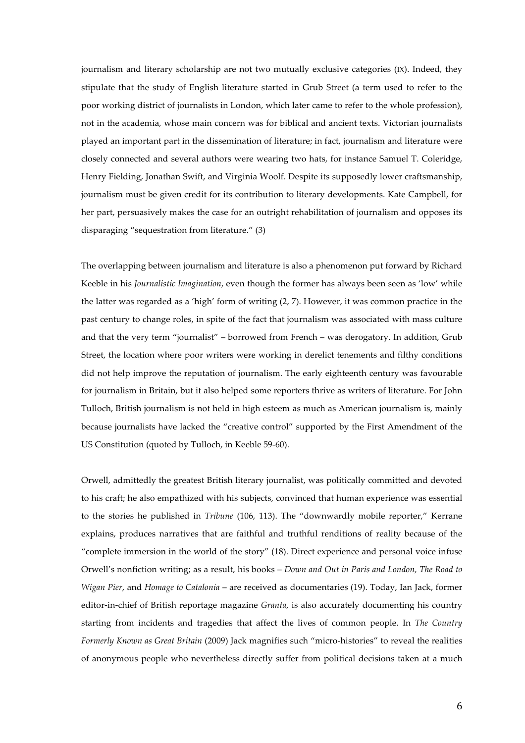journalism and literary scholarship are not two mutually exclusive categories (IX). Indeed, they stipulate that the study of English literature started in Grub Street (a term used to refer to the poor working district of journalists in London, which later came to refer to the whole profession), not in the academia, whose main concern was for biblical and ancient texts. Victorian journalists played an important part in the dissemination of literature; in fact, journalism and literature were closely connected and several authors were wearing two hats, for instance Samuel T. Coleridge, Henry Fielding, Jonathan Swift, and Virginia Woolf. Despite its supposedly lower craftsmanship, journalism must be given credit for its contribution to literary developments. Kate Campbell, for her part, persuasively makes the case for an outright rehabilitation of journalism and opposes its disparaging "sequestration from literature." (3)

The overlapping between journalism and literature is also a phenomenon put forward by Richard Keeble in his *Journalistic Imagination*, even though the former has always been seen as 'low' while the latter was regarded as a 'high' form of writing (2, 7). However, it was common practice in the past century to change roles, in spite of the fact that journalism was associated with mass culture and that the very term "journalist" – borrowed from French – was derogatory. In addition, Grub Street, the location where poor writers were working in derelict tenements and filthy conditions did not help improve the reputation of journalism. The early eighteenth century was favourable for journalism in Britain, but it also helped some reporters thrive as writers of literature. For John Tulloch, British journalism is not held in high esteem as much as American journalism is, mainly because journalists have lacked the "creative control" supported by the First Amendment of the US Constitution (quoted by Tulloch, in Keeble 59‑60).

Orwell, admittedly the greatest British literary journalist, was politically committed and devoted to his craft; he also empathized with his subjects, convinced that human experience was essential to the stories he published in *Tribune* (106, 113). The "downwardly mobile reporter," Kerrane explains, produces narratives that are faithful and truthful renditions of reality because of the "complete immersion in the world of the story" (18). Direct experience and personal voice infuse Orwell's nonfiction writing; as a result, his books – *Down and Out in Paris and London, The Road to Wigan Pier*, and *Homage to Catalonia* – are received as documentaries (19). Today, Ian Jack, former editor-in-chief of British reportage magazine *Granta*, is also accurately documenting his country starting from incidents and tragedies that affect the lives of common people. In *The Country Formerly Known as Great Britain* (2009) Jack magnifies such "micro‑histories" to reveal the realities of anonymous people who nevertheless directly suffer from political decisions taken at a much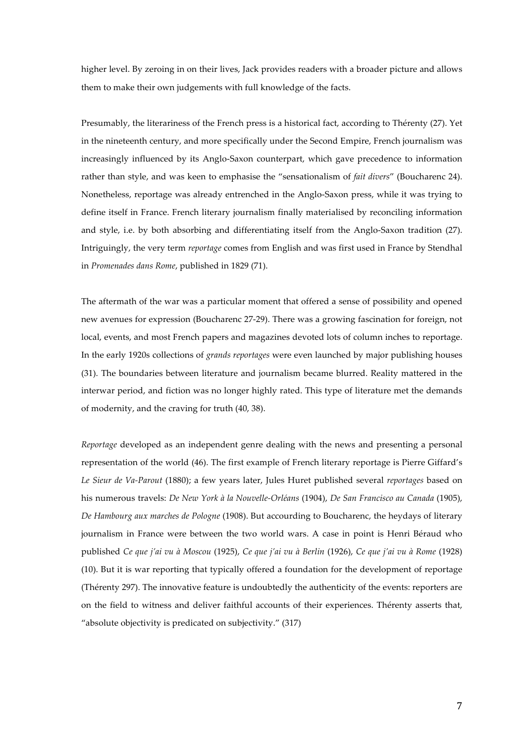higher level. By zeroing in on their lives, Jack provides readers with a broader picture and allows them to make their own judgements with full knowledge of the facts.

Presumably, the literariness of the French press is a historical fact, according to Thérenty (27). Yet in the nineteenth century, and more specifically under the Second Empire, French journalism was increasingly influenced by its Anglo-Saxon counterpart, which gave precedence to information rather than style, and was keen to emphasise the "sensationalism of *fait divers*" (Boucharenc 24). Nonetheless, reportage was already entrenched in the Anglo‑Saxon press, while it was trying to define itself in France. French literary journalism finally materialised by reconciling information and style, i.e. by both absorbing and differentiating itself from the Anglo‑Saxon tradition (27). Intriguingly, the very term *reportage* comes from English and was first used in France by Stendhal in *Promenades dans Rome*, published in 1829 (71).

The aftermath of the war was a particular moment that offered a sense of possibility and opened new avenues for expression (Boucharenc 27‑29). There was a growing fascination for foreign, not local, events, and most French papers and magazines devoted lots of column inches to reportage. In the early 1920s collections of *grands reportages* were even launched by major publishing houses (31). The boundaries between literature and journalism became blurred. Reality mattered in the interwar period, and fiction was no longer highly rated. This type of literature met the demands of modernity, and the craving for truth (40, 38).

*Reportage* developed as an independent genre dealing with the news and presenting a personal representation of the world (46). The first example of French literary reportage is Pierre Giffard's *Le Sieur de Va‑Parout* (1880); a few years later, Jules Huret published several *reportages* based on his numerous travels: *De New York à la Nouvelle‑Orléans* (1904), *De San Francisco au Canada* (1905), *De Hambourg aux marches de Pologne* (1908). But accourding to Boucharenc, the heydays of literary journalism in France were between the two world wars. A case in point is Henri Béraud who published *Ce que j'ai vu à Moscou* (1925), *Ce que j'ai vu à Berlin* (1926), *Ce que j'ai vu à Rome* (1928) (10). But it is war reporting that typically offered a foundation for the development of reportage (Thérenty 297). The innovative feature is undoubtedly the authenticity of the events: reporters are on the field to witness and deliver faithful accounts of their experiences. Thérenty asserts that, "absolute objectivity is predicated on subjectivity." (317)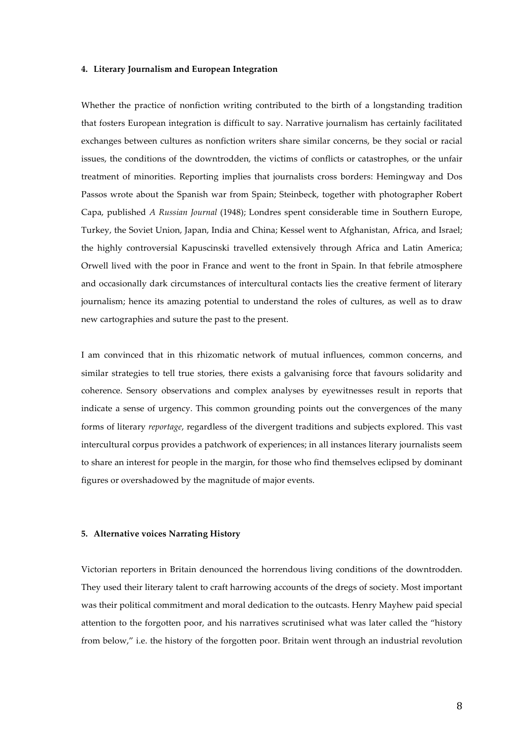#### **4. Literary Journalism and European Integration**

Whether the practice of nonfiction writing contributed to the birth of a longstanding tradition that fosters European integration is difficult to say. Narrative journalism has certainly facilitated exchanges between cultures as nonfiction writers share similar concerns, be they social or racial issues, the conditions of the downtrodden, the victims of conflicts or catastrophes, or the unfair treatment of minorities. Reporting implies that journalists cross borders: Hemingway and Dos Passos wrote about the Spanish war from Spain; Steinbeck, together with photographer Robert Capa, published *A Russian Journal* (1948); Londres spent considerable time in Southern Europe, Turkey, the Soviet Union, Japan, India and China; Kessel went to Afghanistan, Africa, and Israel; the highly controversial Kapuscinski travelled extensively through Africa and Latin America; Orwell lived with the poor in France and went to the front in Spain. In that febrile atmosphere and occasionally dark circumstances of intercultural contacts lies the creative ferment of literary journalism; hence its amazing potential to understand the roles of cultures, as well as to draw new cartographies and suture the past to the present.

I am convinced that in this rhizomatic network of mutual influences, common concerns, and similar strategies to tell true stories, there exists a galvanising force that favours solidarity and coherence. Sensory observations and complex analyses by eyewitnesses result in reports that indicate a sense of urgency. This common grounding points out the convergences of the many forms of literary *reportage*, regardless of the divergent traditions and subjects explored. This vast intercultural corpus provides a patchwork of experiences; in all instances literary journalists seem to share an interest for people in the margin, for those who find themselves eclipsed by dominant figures or overshadowed by the magnitude of major events.

#### **5. Alternative voices Narrating History**

Victorian reporters in Britain denounced the horrendous living conditions of the downtrodden. They used their literary talent to craft harrowing accounts of the dregs of society. Most important was their political commitment and moral dedication to the outcasts. Henry Mayhew paid special attention to the forgotten poor, and his narratives scrutinised what was later called the "history from below," i.e. the history of the forgotten poor. Britain went through an industrial revolution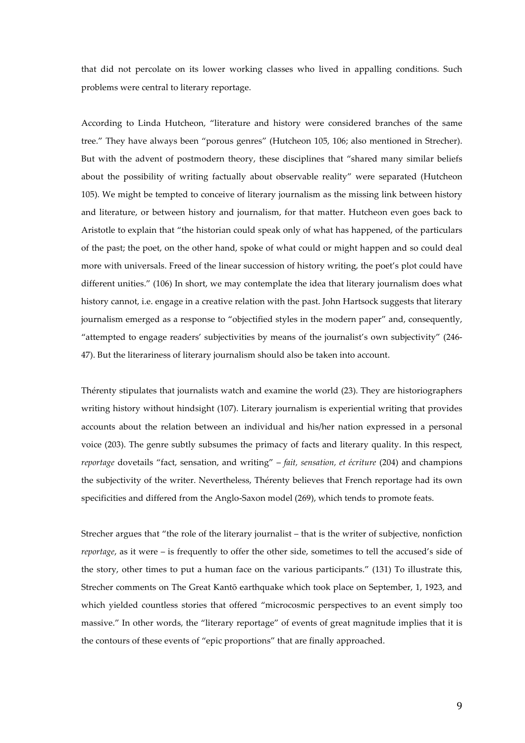that did not percolate on its lower working classes who lived in appalling conditions. Such problems were central to literary reportage.

According to Linda Hutcheon, "literature and history were considered branches of the same tree." They have always been "porous genres" (Hutcheon 105, 106; also mentioned in Strecher). But with the advent of postmodern theory, these disciplines that "shared many similar beliefs about the possibility of writing factually about observable reality" were separated (Hutcheon 105). We might be tempted to conceive of literary journalism as the missing link between history and literature, or between history and journalism, for that matter. Hutcheon even goes back to Aristotle to explain that "the historian could speak only of what has happened, of the particulars of the past; the poet, on the other hand, spoke of what could or might happen and so could deal more with universals. Freed of the linear succession of history writing, the poet's plot could have different unities." (106) In short, we may contemplate the idea that literary journalism does what history cannot, i.e. engage in a creative relation with the past. John Hartsock suggests that literary journalism emerged as a response to "objectified styles in the modern paper" and, consequently, "attempted to engage readers' subjectivities by means of the journalist's own subjectivity" (246‑ 47). But the literariness of literary journalism should also be taken into account.

Thérenty stipulates that journalists watch and examine the world (23). They are historiographers writing history without hindsight (107). Literary journalism is experiential writing that provides accounts about the relation between an individual and his/her nation expressed in a personal voice (203). The genre subtly subsumes the primacy of facts and literary quality. In this respect, *reportage* dovetails "fact, sensation, and writing" – *fait, sensation, et écriture* (204) and champions the subjectivity of the writer. Nevertheless, Thérenty believes that French reportage had its own specificities and differed from the Anglo-Saxon model (269), which tends to promote feats.

Strecher argues that "the role of the literary journalist – that is the writer of subjective, nonfiction *reportage*, as it were – is frequently to offer the other side, sometimes to tell the accused's side of the story, other times to put a human face on the various participants." (131) To illustrate this, Strecher comments on The Great Kantō earthquake which took place on September, 1, 1923, and which yielded countless stories that offered "microcosmic perspectives to an event simply too massive." In other words, the "literary reportage" of events of great magnitude implies that it is the contours of these events of "epic proportions" that are finally approached.